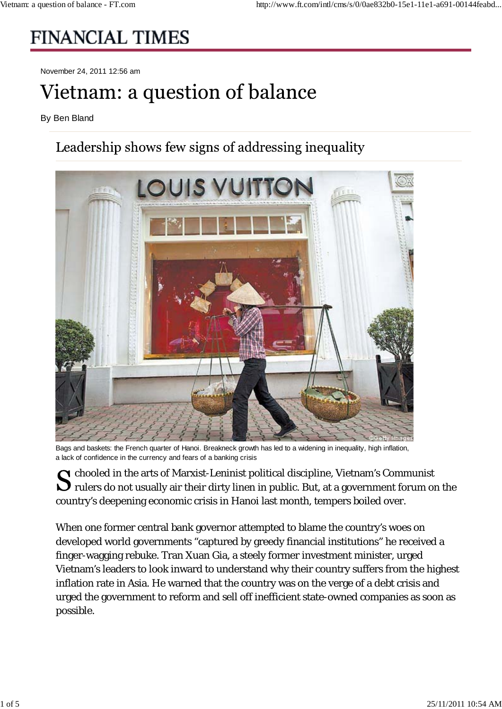## **FINANCIAL TIMES**

November 24, 2011 12:56 am

## Vietnam: a question of balance

By Ben Bland

## Leadership shows few signs of addressing inequality



Bags and baskets: the French quarter of Hanoi. Breakneck growth has led to a widening in inequality, high inflation, a lack of confidence in the currency and fears of a banking crisis

 $\bigcap$  chooled in the arts of Marxist-Leninist political discipline, Vietnam's Communist  $\bigcup$  rulers do not usually air their dirty linen in public. But, at a government forum on the country's deepening economic crisis in Hanoi last month, tempers boiled over.

When one former central bank governor attempted to blame the country's woes on developed world governments "captured by greedy financial institutions" he received a finger-wagging rebuke. Tran Xuan Gia, a steely former investment minister, urged Vietnam's leaders to look inward to understand why their country suffers from the highest inflation rate in Asia. He warned that the country was on the verge of a debt crisis and urged the government to reform and sell off inefficient state-owned companies as soon as possible.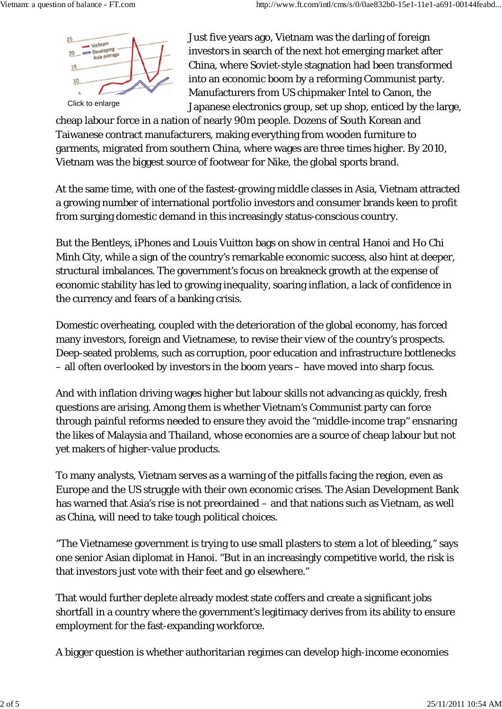

Just five years ago, Vietnam was the darling of foreign investors in search of the next hot emerging market after China, where Soviet-style stagnation had been transformed into an economic boom by a reforming Communist party. Manufacturers from US chipmaker Intel to Canon, the Japanese electronics group, set up shop, enticed by the large,

cheap labour force in a nation of nearly 90m people. Dozens of South Korean and Taiwanese contract manufacturers, making everything from wooden furniture to garments, migrated from southern China, where wages are three times higher. By 2010, Vietnam was the biggest source of footwear for Nike, the global sports brand.

At the same time, with one of the fastest-growing middle classes in Asia, Vietnam attracted a growing number of international portfolio investors and consumer brands keen to profit from surging domestic demand in this increasingly status-conscious country.

But the Bentleys, iPhones and Louis Vuitton bags on show in central Hanoi and Ho Chi Minh City, while a sign of the country's remarkable economic success, also hint at deeper, structural imbalances. The government's focus on breakneck growth at the expense of economic stability has led to growing inequality, soaring inflation, a lack of confidence in the currency and fears of a banking crisis.

Domestic overheating, coupled with the deterioration of the global economy, has forced many investors, foreign and Vietnamese, to revise their view of the country's prospects. Deep-seated problems, such as corruption, poor education and infrastructure bottlenecks – all often overlooked by investors in the boom years – have moved into sharp focus.

And with inflation driving wages higher but labour skills not advancing as quickly, fresh questions are arising. Among them is whether Vietnam's Communist party can force through painful reforms needed to ensure they avoid the "middle-income trap" ensnaring the likes of Malaysia and Thailand, whose economies are a source of cheap labour but not yet makers of higher-value products.

To many analysts, Vietnam serves as a warning of the pitfalls facing the region, even as Europe and the US struggle with their own economic crises. The Asian Development Bank has warned that Asia's rise is not preordained – and that nations such as Vietnam, as well as China, will need to take tough political choices.

"The Vietnamese government is trying to use small plasters to stem a lot of bleeding," says one senior Asian diplomat in Hanoi. "But in an increasingly competitive world, the risk is that investors just vote with their feet and go elsewhere."

That would further deplete already modest state coffers and create a significant jobs shortfall in a country where the government's legitimacy derives from its ability to ensure employment for the fast-expanding workforce.

A bigger question is whether authoritarian regimes can develop high-income economies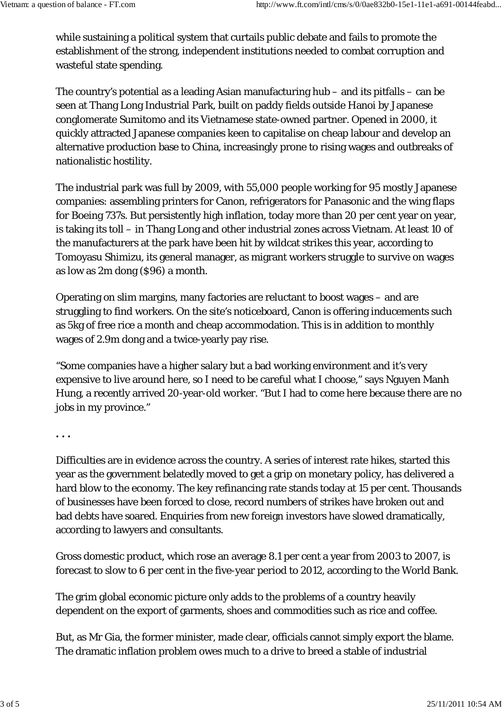while sustaining a political system that curtails public debate and fails to promote the establishment of the strong, independent institutions needed to combat corruption and wasteful state spending.

The country's potential as a leading Asian manufacturing hub – and its pitfalls – can be seen at Thang Long Industrial Park, built on paddy fields outside Hanoi by Japanese conglomerate Sumitomo and its Vietnamese state-owned partner. Opened in 2000, it quickly attracted Japanese companies keen to capitalise on cheap labour and develop an alternative production base to China, increasingly prone to rising wages and outbreaks of nationalistic hostility.

The industrial park was full by 2009, with 55,000 people working for 95 mostly Japanese companies: assembling printers for Canon, refrigerators for Panasonic and the wing flaps for Boeing 737s. But persistently high inflation, today more than 20 per cent year on year, is taking its toll – in Thang Long and other industrial zones across Vietnam. At least 10 of the manufacturers at the park have been hit by wildcat strikes this year, according to Tomoyasu Shimizu, its general manager, as migrant workers struggle to survive on wages as low as 2m dong (\$96) a month.

Operating on slim margins, many factories are reluctant to boost wages – and are struggling to find workers. On the site's noticeboard, Canon is offering inducements such as 5kg of free rice a month and cheap accommodation. This is in addition to monthly wages of 2.9m dong and a twice-yearly pay rise.

"Some companies have a higher salary but a bad working environment and it's very expensive to live around here, so I need to be careful what I choose," says Nguyen Manh Hung, a recently arrived 20-year-old worker. "But I had to come here because there are no jobs in my province."

**. . .**

Difficulties are in evidence across the country. A series of interest rate hikes, started this year as the government belatedly moved to get a grip on monetary policy, has delivered a hard blow to the economy. The key refinancing rate stands today at 15 per cent. Thousands of businesses have been forced to close, record numbers of strikes have broken out and bad debts have soared. Enquiries from new foreign investors have slowed dramatically, according to lawyers and consultants.

Gross domestic product, which rose an average 8.1 per cent a year from 2003 to 2007, is forecast to slow to 6 per cent in the five-year period to 2012, according to the World Bank.

The grim global economic picture only adds to the problems of a country heavily dependent on the export of garments, shoes and commodities such as rice and coffee.

But, as Mr Gia, the former minister, made clear, officials cannot simply export the blame. The dramatic inflation problem owes much to a drive to breed a stable of industrial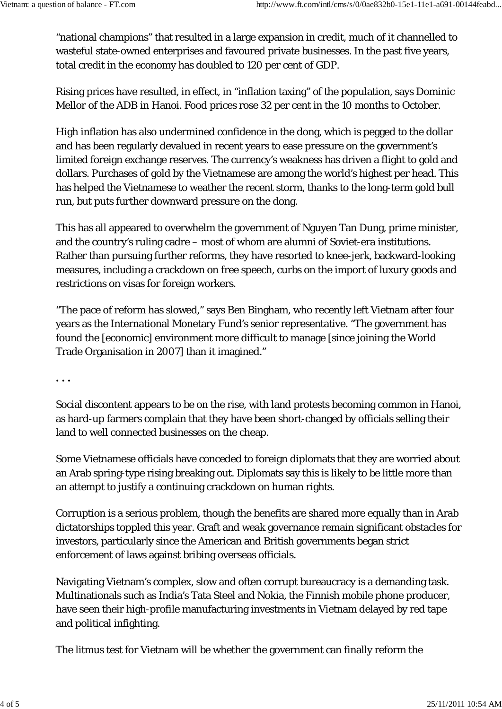"national champions" that resulted in a large expansion in credit, much of it channelled to wasteful state-owned enterprises and favoured private businesses. In the past five years, total credit in the economy has doubled to 120 per cent of GDP.

Rising prices have resulted, in effect, in "inflation taxing" of the population, says Dominic Mellor of the ADB in Hanoi. Food prices rose 32 per cent in the 10 months to October.

High inflation has also undermined confidence in the dong, which is pegged to the dollar and has been regularly devalued in recent years to ease pressure on the government's limited foreign exchange reserves. The currency's weakness has driven a flight to gold and dollars. Purchases of gold by the Vietnamese are among the world's highest per head. This has helped the Vietnamese to weather the recent storm, thanks to the long-term gold bull run, but puts further downward pressure on the dong.

This has all appeared to overwhelm the government of Nguyen Tan Dung, prime minister, and the country's ruling cadre – most of whom are alumni of Soviet-era institutions. Rather than pursuing further reforms, they have resorted to knee-jerk, backward-looking measures, including a crackdown on free speech, curbs on the import of luxury goods and restrictions on visas for foreign workers.

"The pace of reform has slowed," says Ben Bingham, who recently left Vietnam after four years as the International Monetary Fund's senior representative. "The government has found the [economic] environment more difficult to manage [since joining the World Trade Organisation in 2007] than it imagined."

**. . .**

Social discontent appears to be on the rise, with land protests becoming common in Hanoi, as hard-up farmers complain that they have been short-changed by officials selling their land to well connected businesses on the cheap.

Some Vietnamese officials have conceded to foreign diplomats that they are worried about an Arab spring-type rising breaking out. Diplomats say this is likely to be little more than an attempt to justify a continuing crackdown on human rights.

Corruption is a serious problem, though the benefits are shared more equally than in Arab dictatorships toppled this year. Graft and weak governance remain significant obstacles for investors, particularly since the American and British governments began strict enforcement of laws against bribing overseas officials.

Navigating Vietnam's complex, slow and often corrupt bureaucracy is a demanding task. Multinationals such as India's Tata Steel and Nokia, the Finnish mobile phone producer, have seen their high-profile manufacturing investments in Vietnam delayed by red tape and political infighting.

The litmus test for Vietnam will be whether the government can finally reform the